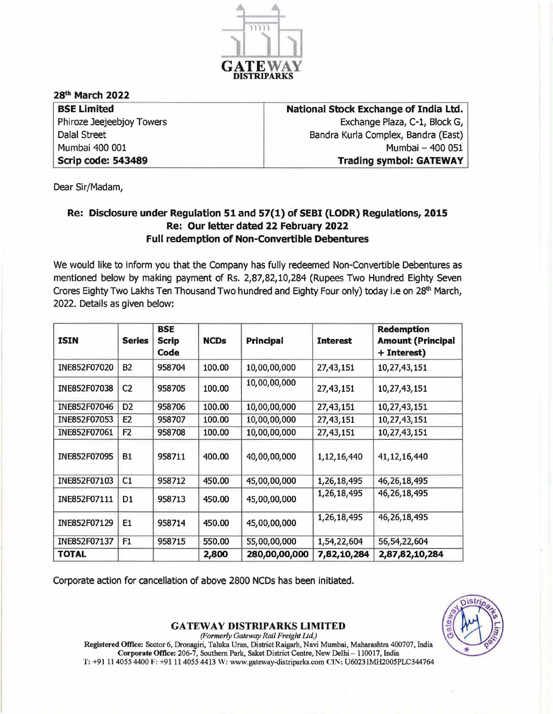

## 28th March 2022

| <b>BSE Limited</b>        |
|---------------------------|
| Phiroze Jeejeebjoy Towers |
| <b>Dalal Street</b>       |
| Mumbai 400 001            |
| <b>Scrip code: 543489</b> |

National Stock Exchange of India Ltd. Exchange Plaza, C-l, Block G, Bandra Kurla Complex, Bandra (East) Mumbai - 400 051 Trading symbol: GATEWAY

Dear Sir/Madam,

## Re: Disclosure under Regulation 51 and 57(1) of SEBI (LODR) Regulations, 2015 Re: Our letter dated 22 February 2022 Full redemption of Non-Convertible Debentures

We would like to inform you that the Company has fully redeemed Non-Convertible Debentures as mentioned below by making payment of Rs. 2,87,82,10,284 (Rupees Two Hundred Eighty Seven Crores Eighty Two Lakhs Ten Thousand Two hundred and Eighty Four only) today i.e on 28<sup>th</sup> March, 2022. Details as given below:

| <b>ISIN</b>  | <b>Series</b>  | <b>BSE</b><br><b>Scrip</b><br>Code | <b>NCDs</b> | <b>Principal</b> | <b>Interest</b> | <b>Redemption</b><br><b>Amount (Principal</b><br>+ Interest) |
|--------------|----------------|------------------------------------|-------------|------------------|-----------------|--------------------------------------------------------------|
| INE852F07020 | <b>B2</b>      | 958704                             | 100.00      | 10,00,00,000     | 27,43,151       | 10,27,43,151                                                 |
| INE852F07038 | C <sub>2</sub> | 958705                             | 100.00      | 10,00,00,000     | 27, 43, 151     | 10,27,43,151                                                 |
| INE852F07046 | D <sub>2</sub> | 958706                             | 100.00      | 10,00,00,000     | 27,43,151       | 10,27,43,151                                                 |
| INE852F07053 | E <sub>2</sub> | 958707                             | 100.00      | 10,00,00,000     | 27,43,151       | 10,27,43,151                                                 |
| INE852F07061 | F <sub>2</sub> | 958708                             | 100.00      | 10,00,00,000     | 27, 43, 151     | 10,27,43,151                                                 |
| INE852F07095 | <b>B1</b>      | 958711                             | 400.00      | 40,00,00,000     | 1,12,16,440     | 41, 12, 16, 440                                              |
| INE852F07103 | C1             | 958712                             | 450.00      | 45,00,00,000     | 1,26,18,495     | 46,26,18,495                                                 |
| INE852F07111 | D1             | 958713                             | 450.00      | 45,00,00,000     | 1,26,18,495     | 46, 26, 18, 495                                              |
| INE852F07129 | E1             | 958714                             | 450.00      | 45,00,00,000     | 1,26,18,495     | 46, 26, 18, 495                                              |
| INE852F07137 | F <sub>1</sub> | 958715                             | 550.00      | 55,00,00,000     | 1,54,22,604     | 56,54,22,604                                                 |
| <b>TOTAL</b> |                |                                    | 2,800       | 280,00,00,000    | 7,82,10,284     | 2,87,82,10,284                                               |

Corporate action for cancellation of above 2800 NCDs has been initiated.

GATEWAY DISTRIPARKS LIMITED *(Formerly Gateway Rail Freight Ltd)*  Registered Office: Sector 6, Dronagiri, Taluka Uran, District Raigarh, Navi Mumbai, Maharashtm 400707, India

Corporate Office: 206-7, Southern Park, Saket District Centre, New Delhi - 110017, India T: +91 11 4055 4400 F: +91 11 4055 4413 W: www.gateway-distriparks.com CIN: U60231MH2005PLC344764